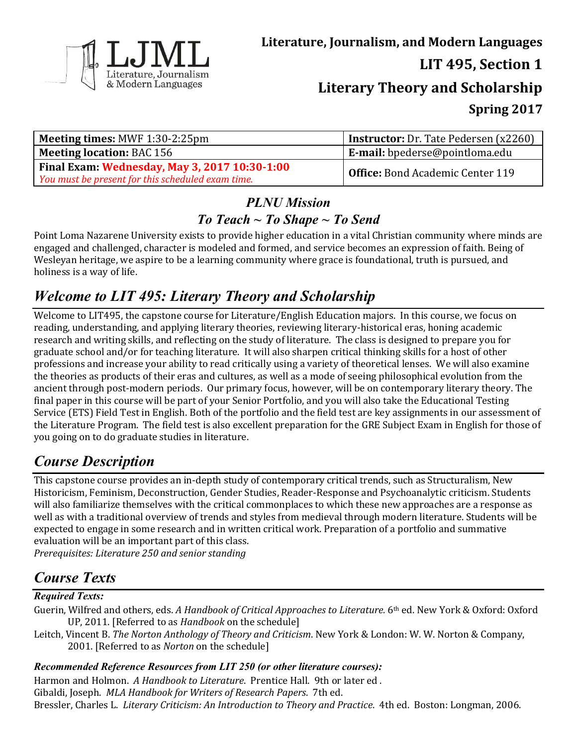

| <b>Meeting times: MWF 1:30-2:25pm</b>             | <b>Instructor:</b> Dr. Tate Pedersen (x2260)           |
|---------------------------------------------------|--------------------------------------------------------|
| <b>Meeting location: BAC 156</b>                  | $\mathbf{E}\cdot\mathbf{mail:}$ bpederse@pointloma.edu |
| Final Exam: Wednesday, May 3, 2017 10:30-1:00     | Office: Bond Academic Center 119                       |
| You must be present for this scheduled exam time. |                                                        |

### *PLNU Mission To Teach ~ To Shape ~ To Send*

Point Loma Nazarene University exists to provide higher education in a vital Christian community where minds are engaged and challenged, character is modeled and formed, and service becomes an expression of faith. Being of Wesleyan heritage, we aspire to be a learning community where grace is foundational, truth is pursued, and holiness is a way of life.

# *Welcome to LIT 495: Literary Theory and Scholarship*

Welcome to LIT495, the capstone course for Literature/English Education majors. In this course, we focus on reading, understanding, and applying literary theories, reviewing literary-historical eras, honing academic research and writing skills, and reflecting on the study of literature. The class is designed to prepare you for graduate school and/or for teaching literature. It will also sharpen critical thinking skills for a host of other professions and increase your ability to read critically using a variety of theoretical lenses. We will also examine the theories as products of their eras and cultures, as well as a mode of seeing philosophical evolution from the ancient through post-modern periods. Our primary focus, however, will be on contemporary literary theory. The final paper in this course will be part of your Senior Portfolio, and you will also take the Educational Testing Service (ETS) Field Test in English. Both of the portfolio and the field test are key assignments in our assessment of the Literature Program. The field test is also excellent preparation for the GRE Subject Exam in English for those of you going on to do graduate studies in literature.

# *Course Description*

This capstone course provides an in-depth study of contemporary critical trends, such as Structuralism, New Historicism, Feminism, Deconstruction, Gender Studies, Reader-Response and Psychoanalytic criticism. Students will also familiarize themselves with the critical commonplaces to which these new approaches are a response as well as with a traditional overview of trends and styles from medieval through modern literature. Students will be expected to engage in some research and in written critical work. Preparation of a portfolio and summative evaluation will be an important part of this class. *Prerequisites: Literature 250 and senior standing*

# *Course Texts*

### *Required Texts:*

- Guerin, Wilfred and others, eds. *A Handbook of Critical Approaches to Literature.* 6<sup>th</sup> ed. New York & Oxford: Oxford UP, 2011. [Referred to as *Handbook* on the schedule]
- Leitch, Vincent B. *The Norton Anthology of Theory and Criticism*. New York & London: W. W. Norton & Company, 2001. [Referred to as *Norton* on the schedule]

### *Recommended Reference Resources from LIT 250 (or other literature courses):*

Harmon and Holmon. *A Handbook to Literature*. Prentice Hall. 9th or later ed . Gibaldi, Joseph. *MLA Handbook for Writers of Research Papers*. 7th ed. Bressler, Charles L. *Literary Criticism: An Introduction to Theory and Practice*. 4th ed. Boston: Longman, 2006.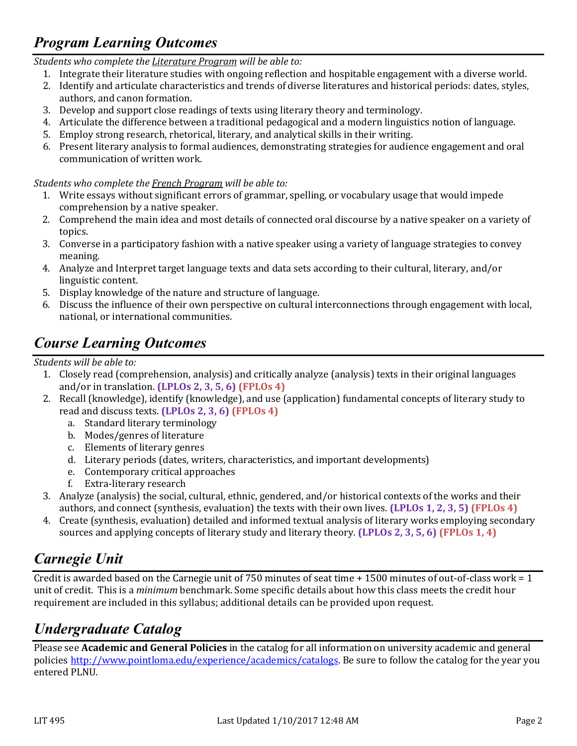# *Program Learning Outcomes*

*Students who complete the Literature Program will be able to:*

- 1. Integrate their literature studies with ongoing reflection and hospitable engagement with a diverse world.
- 2. Identify and articulate characteristics and trends of diverse literatures and historical periods: dates, styles, authors, and canon formation.
- 3. Develop and support close readings of texts using literary theory and terminology.
- 4. Articulate the difference between a traditional pedagogical and a modern linguistics notion of language.
- 5. Employ strong research, rhetorical, literary, and analytical skills in their writing.
- 6. Present literary analysis to formal audiences, demonstrating strategies for audience engagement and oral communication of written work.

### *Students who complete the French Program will be able to:*

- 1. Write essays without significant errors of grammar, spelling, or vocabulary usage that would impede comprehension by a native speaker.
- 2. Comprehend the main idea and most details of connected oral discourse by a native speaker on a variety of topics.
- 3. Converse in a participatory fashion with a native speaker using a variety of language strategies to convey meaning.
- 4. Analyze and Interpret target language texts and data sets according to their cultural, literary, and/or linguistic content.
- 5. Display knowledge of the nature and structure of language.
- 6. Discuss the influence of their own perspective on cultural interconnections through engagement with local, national, or international communities.

# *Course Learning Outcomes*

*Students will be able to:*

- 1. Closely read (comprehension, analysis) and critically analyze (analysis) texts in their original languages and/or in translation. **(LPLOs 2, 3, 5, 6) (FPLOs 4)**
- 2. Recall (knowledge), identify (knowledge), and use (application) fundamental concepts of literary study to read and discuss texts. **(LPLOs 2, 3, 6) (FPLOs 4)**
	- a. Standard literary terminology
	- b. Modes/genres of literature
	- c. Elements of literary genres
	- d. Literary periods (dates, writers, characteristics, and important developments)
	- e. Contemporary critical approaches
	- f. Extra-literary research
- 3. Analyze (analysis) the social, cultural, ethnic, gendered, and/or historical contexts of the works and their authors, and connect (synthesis, evaluation) the texts with their own lives. **(LPLOs 1, 2, 3, 5) (FPLOs 4)**
- 4. Create (synthesis, evaluation) detailed and informed textual analysis of literary works employing secondary sources and applying concepts of literary study and literary theory. **(LPLOs 2, 3, 5, 6) (FPLOs 1, 4)**

# *Carnegie Unit*

Credit is awarded based on the Carnegie unit of 750 minutes of seat time + 1500 minutes of out-of-class work = 1 unit of credit. This is a *minimum* benchmark. Some specific details about how this class meets the credit hour requirement are included in this syllabus; additional details can be provided upon request.

# *Undergraduate Catalog*

Please see **Academic and General Policies** in the catalog for all information on university academic and general policies [http://www.pointloma.edu/experience/academics/catalogs.](http://www.pointloma.edu/experience/academics/catalogs) Be sure to follow the catalog for the year you entered PLNU.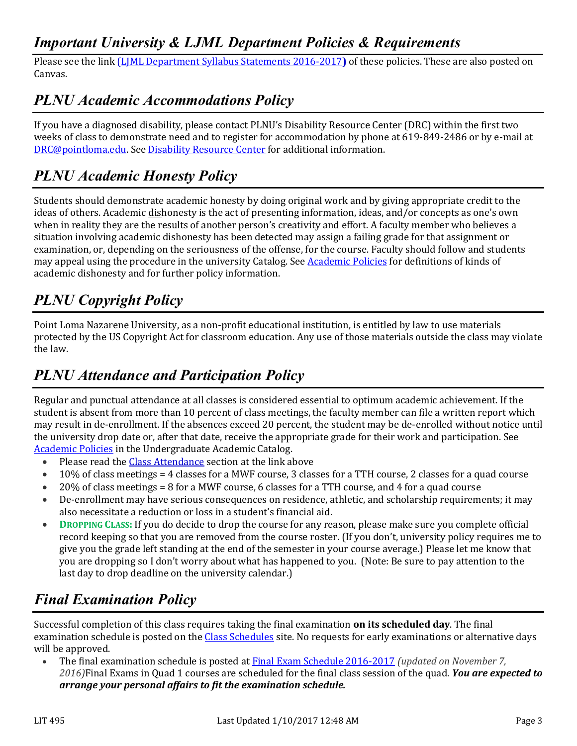## *Important University & LJML Department Policies & Requirements*

Please see the link (LJML [Department](http://www.pointloma.edu/sites/default/files/filemanager/Literature_Journalism__Modern_Languages/LJML_Department_Syllabus_Statments_final_2015-16.pdf) Syllabus Statements 2016-2017**)** of these policies. These are also posted on Canvas.

## *PLNU Academic Accommodations Policy*

If you have a diagnosed disability, please contact PLNU's Disability Resource Center (DRC) within the first two weeks of class to demonstrate need and to register for accommodation by phone at 619-849-2486 or by e-mail at [DRC@pointloma.edu.](mailto:DRC@pointloma.edu) Se[e Disability Resource Center](http://www.pointloma.edu/experience/offices/administrative-offices/academic-advising-office/disability-resource-center) for additional information.

## *PLNU Academic Honesty Policy*

Students should demonstrate academic honesty by doing original work and by giving appropriate credit to the ideas of others. Academic dishonesty is the act of presenting information, ideas, and/or concepts as one's own when in reality they are the results of another person's creativity and effort. A faculty member who believes a situation involving academic dishonesty has been detected may assign a failing grade for that assignment or examination, or, depending on the seriousness of the offense, for the course. Faculty should follow and students may appeal using the procedure in the university Catalog. Se[e Academic Policies](http://catalog.pointloma.edu/content.php?catoid=18&navoid=1278) for definitions of kinds of academic dishonesty and for further policy information.

# *PLNU Copyright Policy*

Point Loma Nazarene University, as a non-profit educational institution, is entitled by law to use materials protected by the US Copyright Act for classroom education. Any use of those materials outside the class may violate the law.

# *PLNU Attendance and Participation Policy*

Regular and punctual attendance at all classes is considered essential to optimum academic achievement. If the student is absent from more than 10 percent of class meetings, the faculty member can file a written report which may result in de-enrollment. If the absences exceed 20 percent, the student may be de-enrolled without notice until the university drop date or, after that date, receive the appropriate grade for their work and participation. See [Academic Policies](http://catalog.pointloma.edu/content.php?catoid=18&navoid=1278) in the Undergraduate Academic Catalog.

- Please read the [Class Attendance](http://catalog.pointloma.edu/content.php?catoid=24&navoid=1581#Class_Attendance) section at the link above
- $\bullet$  10% of class meetings = 4 classes for a MWF course, 3 classes for a TTH course, 2 classes for a quad course
- 20% of class meetings = 8 for a MWF course, 6 classes for a TTH course, and 4 for a quad course
- De-enrollment may have serious consequences on residence, athletic, and scholarship requirements; it may also necessitate a reduction or loss in a student's financial aid.
- **DROPPING CLASS:** If you do decide to drop the course for any reason, please make sure you complete official record keeping so that you are removed from the course roster. (If you don't, university policy requires me to give you the grade left standing at the end of the semester in your course average.) Please let me know that you are dropping so I don't worry about what has happened to you. (Note: Be sure to pay attention to the last day to drop deadline on the university calendar.)

# *Final Examination Policy*

Successful completion of this class requires taking the final examination **on its scheduled day**. The final examination schedule is posted on th[e Class Schedules](http://www.pointloma.edu/experience/academics/class-schedules) site. No requests for early examinations or alternative days will be approved.

 The final examination schedule is posted at Final Exam Schedule [2016-2017](http://www.pointloma.edu/sites/default/files/filemanager/Academic_Affairs/Schedules/2016-17_Final_Exam_Schedule_-_MAIN_rev110716.pdf) *(updated on November 7, 2016)*Final Exams in Quad 1 courses are scheduled for the final class session of the quad. *You are expected to arrange your personal affairs to fit the examination schedule.*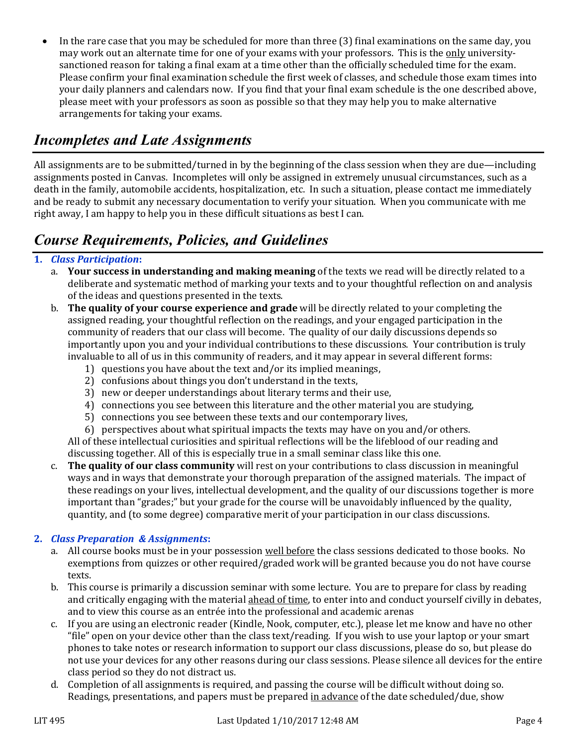• In the rare case that you may be scheduled for more than three (3) final examinations on the same day, you may work out an alternate time for one of your exams with your professors. This is the only universitysanctioned reason for taking a final exam at a time other than the officially scheduled time for the exam. Please confirm your final examination schedule the first week of classes, and schedule those exam times into your daily planners and calendars now. If you find that your final exam schedule is the one described above, please meet with your professors as soon as possible so that they may help you to make alternative arrangements for taking your exams.

## *Incompletes and Late Assignments*

All assignments are to be submitted/turned in by the beginning of the class session when they are due—including assignments posted in Canvas. Incompletes will only be assigned in extremely unusual circumstances, such as a death in the family, automobile accidents, hospitalization, etc. In such a situation, please contact me immediately and be ready to submit any necessary documentation to verify your situation. When you communicate with me right away, I am happy to help you in these difficult situations as best I can.

## *Course Requirements, Policies, and Guidelines*

### **1.** *Class Participation***:**

- a. **Your success in understanding and making meaning** of the texts we read will be directly related to a deliberate and systematic method of marking your texts and to your thoughtful reflection on and analysis of the ideas and questions presented in the texts.
- b. **The quality of your course experience and grade** will be directly related to your completing the assigned reading, your thoughtful reflection on the readings, and your engaged participation in the community of readers that our class will become. The quality of our daily discussions depends so importantly upon you and your individual contributions to these discussions. Your contribution is truly invaluable to all of us in this community of readers, and it may appear in several different forms:
	- 1) questions you have about the text and/or its implied meanings,
	- 2) confusions about things you don't understand in the texts,
	- 3) new or deeper understandings about literary terms and their use,
	- 4) connections you see between this literature and the other material you are studying,
	- 5) connections you see between these texts and our contemporary lives,
	- 6) perspectives about what spiritual impacts the texts may have on you and/or others.

All of these intellectual curiosities and spiritual reflections will be the lifeblood of our reading and discussing together. All of this is especially true in a small seminar class like this one.

c. **The quality of our class community** will rest on your contributions to class discussion in meaningful ways and in ways that demonstrate your thorough preparation of the assigned materials. The impact of these readings on your lives, intellectual development, and the quality of our discussions together is more important than "grades;" but your grade for the course will be unavoidably influenced by the quality, quantity, and (to some degree) comparative merit of your participation in our class discussions.

### **2.** *Class Preparation & Assignments***:**

- a. All course books must be in your possession well before the class sessions dedicated to those books. No exemptions from quizzes or other required/graded work will be granted because you do not have course texts.
- b. This course is primarily a discussion seminar with some lecture. You are to prepare for class by reading and critically engaging with the material ahead of time, to enter into and conduct yourself civilly in debates, and to view this course as an entrée into the professional and academic arenas
- c. If you are using an electronic reader (Kindle, Nook, computer, etc.), please let me know and have no other "file" open on your device other than the class text/reading. If you wish to use your laptop or your smart phones to take notes or research information to support our class discussions, please do so, but please do not use your devices for any other reasons during our class sessions. Please silence all devices for the entire class period so they do not distract us.
- d. Completion of all assignments is required, and passing the course will be difficult without doing so. Readings, presentations, and papers must be prepared in advance of the date scheduled/due, show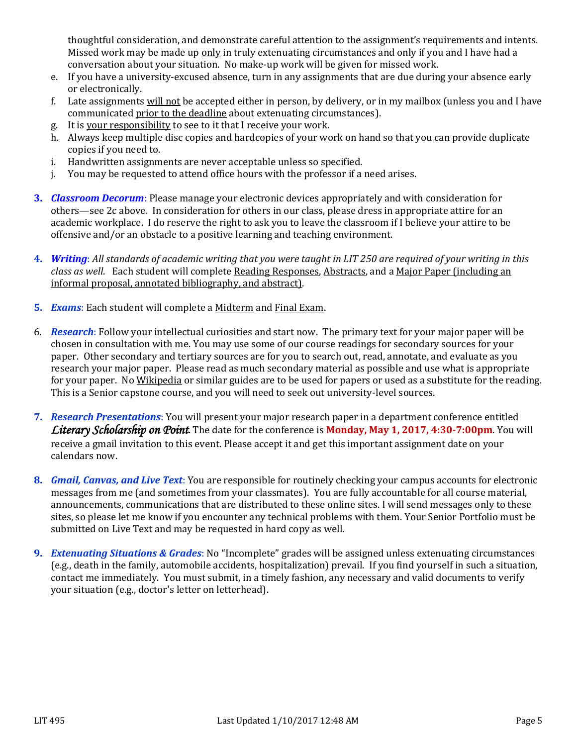thoughtful consideration, and demonstrate careful attention to the assignment's requirements and intents. Missed work may be made up only in truly extenuating circumstances and only if you and I have had a conversation about your situation. No make-up work will be given for missed work.

- e. If you have a university-excused absence, turn in any assignments that are due during your absence early or electronically.
- f. Late assignments will not be accepted either in person, by delivery, or in my mailbox (unless you and I have communicated prior to the deadline about extenuating circumstances).
- g. It is your responsibility to see to it that I receive your work.
- h. Always keep multiple disc copies and hardcopies of your work on hand so that you can provide duplicate copies if you need to.
- i. Handwritten assignments are never acceptable unless so specified.
- j. You may be requested to attend office hours with the professor if a need arises.
- **3.** *Classroom Decorum*: Please manage your electronic devices appropriately and with consideration for others—see 2c above. In consideration for others in our class, please dress in appropriate attire for an academic workplace. I do reserve the right to ask you to leave the classroom if I believe your attire to be offensive and/or an obstacle to a positive learning and teaching environment.
- **4.** *Writing*: *All standards of academic writing that you were taught in LIT 250 are required of your writing in this class as well*. Each student will complete Reading Responses, Abstracts, and a Major Paper (including an informal proposal, annotated bibliography, and abstract).
- **5.** *Exams*: Each student will complete a Midterm and Final Exam.
- 6. *Research*: Follow your intellectual curiosities and start now. The primary text for your major paper will be chosen in consultation with me. You may use some of our course readings for secondary sources for your paper. Other secondary and tertiary sources are for you to search out, read, annotate, and evaluate as you research your major paper. Please read as much secondary material as possible and use what is appropriate for your paper. No Wikipedia or similar guides are to be used for papers or used as a substitute for the reading. This is a Senior capstone course, and you will need to seek out university-level sources.
- **7.** *Research Presentations*: You will present your major research paper in a department conference entitled *Literary Scholarship on Point*. The date for the conference is **Monday, May 1, 2017, 4:30-7:00pm**. You will receive a gmail invitation to this event. Please accept it and get this important assignment date on your calendars now.
- **8.** *Gmail, Canvas, and Live Text*: You are responsible for routinely checking your campus accounts for electronic messages from me (and sometimes from your classmates). You are fully accountable for all course material, announcements, communications that are distributed to these online sites. I will send messages only to these sites, so please let me know if you encounter any technical problems with them. Your Senior Portfolio must be submitted on Live Text and may be requested in hard copy as well.
- **9.** *Extenuating Situations & Grades*: No "Incomplete" grades will be assigned unless extenuating circumstances (e.g., death in the family, automobile accidents, hospitalization) prevail. If you find yourself in such a situation, contact me immediately. You must submit, in a timely fashion, any necessary and valid documents to verify your situation (e.g., doctor's letter on letterhead).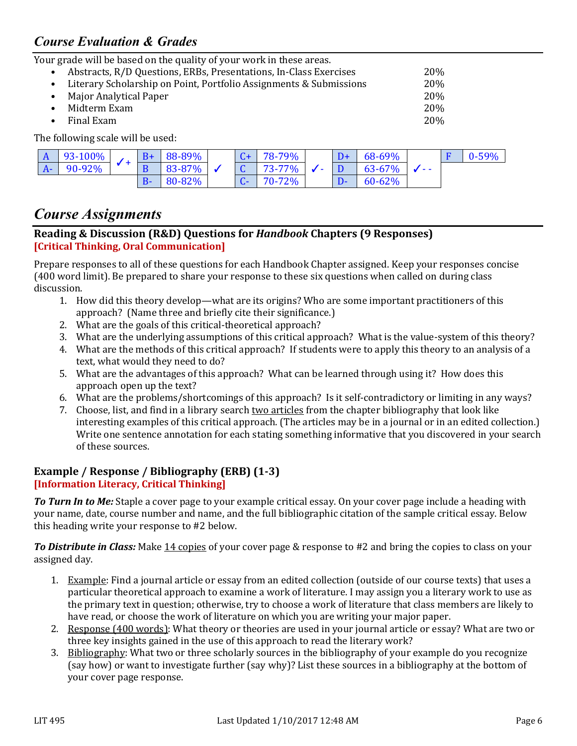### *Course Evaluation & Grades*

Your grade will be based on the quality of your work in these areas.

• Abstracts, R/D Questions, ERBs, Presentations, In-Class Exercises 20% • Literary Scholarship on Point, Portfolio Assignments & Submissions 20% • Major Analytical Paper 20% • Midterm Exam 20% • Final Exam 20%

The following scale will be used:

| $\mathbf{A}$ | $93-100%$ | $B+$  | 88-89%      |                           | 78-79% |     | 68-69%      |     | $0 - 59%$ |
|--------------|-----------|-------|-------------|---------------------------|--------|-----|-------------|-----|-----------|
| $A-$         | 90-92%    |       | $83 - 87\%$ |                           | 73-77% | . . | 63-67%      | - - |           |
|              |           | $B -$ | 80-82%      | $\mathbf{C}^{\mathbf{r}}$ | 70-72% |     | $60 - 62\%$ |     |           |

## *Course Assignments*

#### **Reading & Discussion (R&D) Questions for** *Handbook* **Chapters (9 Responses) [Critical Thinking, Oral Communication]**

Prepare responses to all of these questions for each Handbook Chapter assigned. Keep your responses concise (400 word limit). Be prepared to share your response to these six questions when called on during class discussion.

- 1. How did this theory develop—what are its origins? Who are some important practitioners of this approach? (Name three and briefly cite their significance.)
- 2. What are the goals of this critical-theoretical approach?
- 3. What are the underlying assumptions of this critical approach? What is the value-system of this theory?
- 4. What are the methods of this critical approach? If students were to apply this theory to an analysis of a text, what would they need to do?
- 5. What are the advantages of this approach? What can be learned through using it? How does this approach open up the text?
- 6. What are the problems/shortcomings of this approach? Is it self-contradictory or limiting in any ways?
- 7. Choose, list, and find in a library search two articles from the chapter bibliography that look like interesting examples of this critical approach. (The articles may be in a journal or in an edited collection.) Write one sentence annotation for each stating something informative that you discovered in your search of these sources.

#### **Example / Response / Bibliography (ERB) (1-3) [Information Literacy, Critical Thinking]**

*To Turn In to Me:* Staple a cover page to your example critical essay. On your cover page include a heading with your name, date, course number and name, and the full bibliographic citation of the sample critical essay. Below this heading write your response to #2 below.

*To Distribute in Class:* Make 14 copies of your cover page & response to #2 and bring the copies to class on your assigned day.

- 1. Example: Find a journal article or essay from an edited collection (outside of our course texts) that uses a particular theoretical approach to examine a work of literature. I may assign you a literary work to use as the primary text in question; otherwise, try to choose a work of literature that class members are likely to have read, or choose the work of literature on which you are writing your major paper.
- 2. Response (400 words): What theory or theories are used in your journal article or essay? What are two or three key insights gained in the use of this approach to read the literary work?
- 3. Bibliography: What two or three scholarly sources in the bibliography of your example do you recognize (say how) or want to investigate further (say why)? List these sources in a bibliography at the bottom of your cover page response.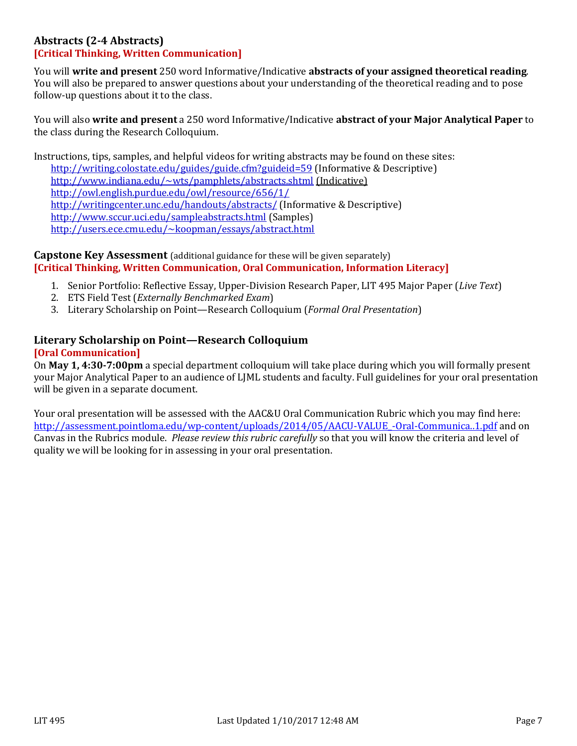#### **Abstracts (2-4 Abstracts) [Critical Thinking, Written Communication]**

You will **write and present** 250 word Informative/Indicative **abstracts of your assigned theoretical reading**. You will also be prepared to answer questions about your understanding of the theoretical reading and to pose follow-up questions about it to the class.

You will also **write and present** a 250 word Informative/Indicative **abstract of your Major Analytical Paper** to the class during the Research Colloquium.

Instructions, tips, samples, and helpful videos for writing abstracts may be found on these sites: <http://writing.colostate.edu/guides/guide.cfm?guideid=59> (Informative & Descriptive) <http://www.indiana.edu/~wts/pamphlets/abstracts.shtml> (Indicative) <http://owl.english.purdue.edu/owl/resource/656/1/> <http://writingcenter.unc.edu/handouts/abstracts/> (Informative & Descriptive) <http://www.sccur.uci.edu/sampleabstracts.html> (Samples) <http://users.ece.cmu.edu/~koopman/essays/abstract.html>

#### **Capstone Key Assessment** (additional guidance for these will be given separately) **[Critical Thinking, Written Communication, Oral Communication, Information Literacy]**

- 1. Senior Portfolio: Reflective Essay, Upper-Division Research Paper, LIT 495 Major Paper (*Live Text*)
- 2. ETS Field Test (*Externally Benchmarked Exam*)
- 3. Literary Scholarship on Point—Research Colloquium (*Formal Oral Presentation*)

#### **Literary Scholarship on Point—Research Colloquium [Oral Communication]**

On **May 1, 4:30-7:00pm** a special department colloquium will take place during which you will formally present your Major Analytical Paper to an audience of LJML students and faculty. Full guidelines for your oral presentation will be given in a separate document.

Your oral presentation will be assessed with the AAC&U Oral Communication Rubric which you may find here: http://assessment.pointloma.edu/wp-content/uploads/2014/05/AACU-VALUE-Oral-Communica..1.pdf and on Canvas in the Rubrics module. *Please review this rubric carefully* so that you will know the criteria and level of quality we will be looking for in assessing in your oral presentation.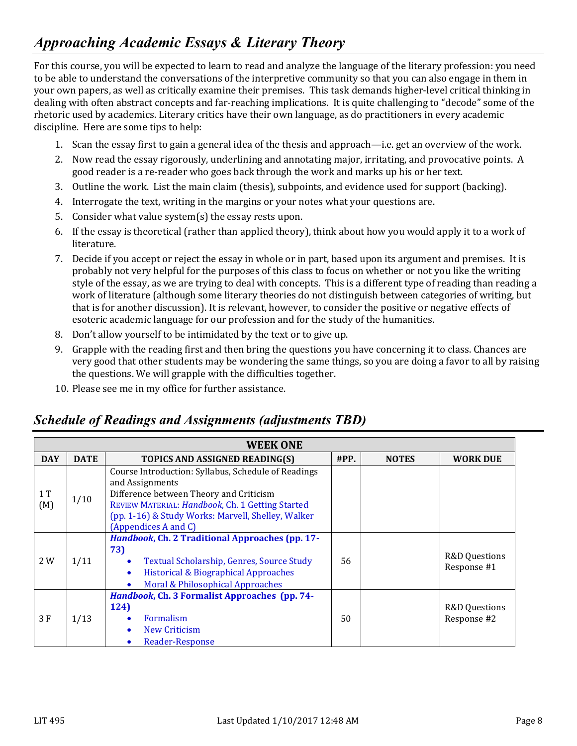# *Approaching Academic Essays & Literary Theory*

For this course, you will be expected to learn to read and analyze the language of the literary profession: you need to be able to understand the conversations of the interpretive community so that you can also engage in them in your own papers, as well as critically examine their premises. This task demands higher-level critical thinking in dealing with often abstract concepts and far-reaching implications. It is quite challenging to "decode" some of the rhetoric used by academics. Literary critics have their own language, as do practitioners in every academic discipline. Here are some tips to help:

- 1. Scan the essay first to gain a general idea of the thesis and approach—i.e. get an overview of the work.
- 2. Now read the essay rigorously, underlining and annotating major, irritating, and provocative points. A good reader is a re-reader who goes back through the work and marks up his or her text.
- 3. Outline the work. List the main claim (thesis), subpoints, and evidence used for support (backing).
- 4. Interrogate the text, writing in the margins or your notes what your questions are.
- 5. Consider what value system(s) the essay rests upon.
- 6. If the essay is theoretical (rather than applied theory), think about how you would apply it to a work of literature.
- 7. Decide if you accept or reject the essay in whole or in part, based upon its argument and premises. It is probably not very helpful for the purposes of this class to focus on whether or not you like the writing style of the essay, as we are trying to deal with concepts. This is a different type of reading than reading a work of literature (although some literary theories do not distinguish between categories of writing, but that is for another discussion). It is relevant, however, to consider the positive or negative effects of esoteric academic language for our profession and for the study of the humanities.
- 8. Don't allow yourself to be intimidated by the text or to give up.
- 9. Grapple with the reading first and then bring the questions you have concerning it to class. Chances are very good that other students may be wondering the same things, so you are doing a favor to all by raising the questions. We will grapple with the difficulties together.
- 10. Please see me in my office for further assistance.

### *Schedule of Readings and Assignments (adjustments TBD)*

|            | <b>WEEK ONE</b> |                                                                                                                                                                                                                                                     |         |              |                                         |  |  |  |  |
|------------|-----------------|-----------------------------------------------------------------------------------------------------------------------------------------------------------------------------------------------------------------------------------------------------|---------|--------------|-----------------------------------------|--|--|--|--|
| <b>DAY</b> | <b>DATE</b>     | TOPICS AND ASSIGNED READING(S)                                                                                                                                                                                                                      | $\#PP.$ | <b>NOTES</b> | <b>WORK DUE</b>                         |  |  |  |  |
| 1T<br>(M)  | 1/10            | Course Introduction: Syllabus, Schedule of Readings<br>and Assignments<br>Difference between Theory and Criticism<br>REVIEW MATERIAL: Handbook, Ch. 1 Getting Started<br>(pp. 1-16) & Study Works: Marvell, Shelley, Walker<br>(Appendices A and C) |         |              |                                         |  |  |  |  |
| 2 W        | 1/11            | Handbook, Ch. 2 Traditional Approaches (pp. 17-<br>73)<br>Textual Scholarship, Genres, Source Study<br><b>Historical &amp; Biographical Approaches</b><br>$\bullet$<br>Moral & Philosophical Approaches                                             | 56      |              | <b>R&amp;D</b> Questions<br>Response #1 |  |  |  |  |
| 3 F        | 1/13            | Handbook, Ch. 3 Formalist Approaches (pp. 74-<br>124)<br>Formalism<br>New Criticism<br><b>Reader-Response</b>                                                                                                                                       | 50      |              | <b>R&amp;D Questions</b><br>Response #2 |  |  |  |  |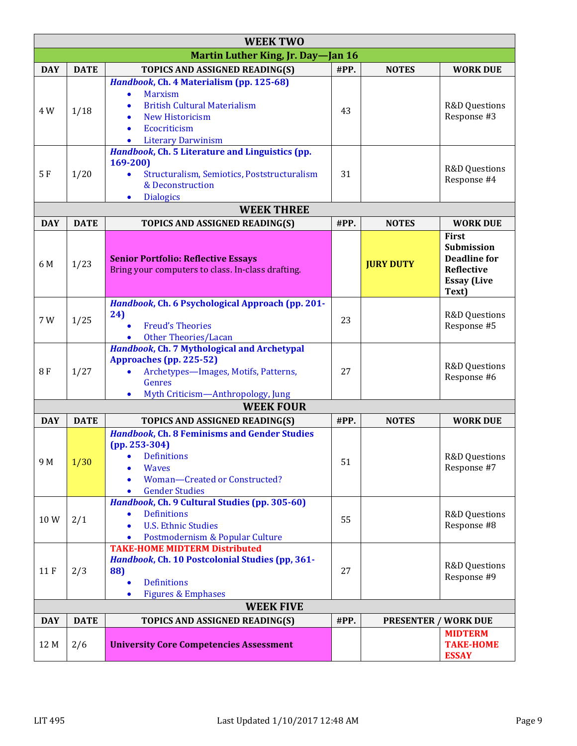|            | <b>WEEK TWO</b>  |                                                                                                                                                                                                    |      |                             |                                                                                                       |  |  |  |
|------------|------------------|----------------------------------------------------------------------------------------------------------------------------------------------------------------------------------------------------|------|-----------------------------|-------------------------------------------------------------------------------------------------------|--|--|--|
|            |                  | Martin Luther King, Jr. Day-Jan 16                                                                                                                                                                 |      |                             |                                                                                                       |  |  |  |
| <b>DAY</b> | <b>DATE</b>      | TOPICS AND ASSIGNED READING(S)                                                                                                                                                                     | #PP. | <b>NOTES</b>                | <b>WORK DUE</b>                                                                                       |  |  |  |
| 4 W        | 1/18             | Handbook, Ch. 4 Materialism (pp. 125-68)<br><b>Marxism</b><br><b>British Cultural Materialism</b><br><b>New Historicism</b><br>Ecocriticism<br>$\bullet$<br><b>Literary Darwinism</b><br>$\bullet$ | 43   |                             | R&D Questions<br>Response #3                                                                          |  |  |  |
| 5F         | 1/20             | Handbook, Ch. 5 Literature and Linguistics (pp.<br>$169 - 200$<br>Structuralism, Semiotics, Poststructuralism<br>$\bullet$<br>& Deconstruction<br><b>Dialogics</b><br>٠                            | 31   |                             | R&D Questions<br>Response #4                                                                          |  |  |  |
|            |                  | <b>WEEK THREE</b>                                                                                                                                                                                  |      |                             |                                                                                                       |  |  |  |
| <b>DAY</b> | <b>DATE</b>      | TOPICS AND ASSIGNED READING(S)                                                                                                                                                                     | #PP. | <b>NOTES</b>                | <b>WORK DUE</b>                                                                                       |  |  |  |
| 6 M        | 1/23             | <b>Senior Portfolio: Reflective Essays</b><br>Bring your computers to class. In-class drafting.                                                                                                    |      | <b>JURY DUTY</b>            | <b>First</b><br>Submission<br><b>Deadline for</b><br><b>Reflective</b><br><b>Essay (Live</b><br>Text) |  |  |  |
| 7 W        | 1/25             | Handbook, Ch. 6 Psychological Approach (pp. 201-<br>24)<br><b>Freud's Theories</b><br>$\bullet$<br><b>Other Theories/Lacan</b>                                                                     | 23   |                             | <b>R&amp;D</b> Questions<br>Response #5                                                               |  |  |  |
| 8F         | 1/27             | Handbook, Ch. 7 Mythological and Archetypal<br>Approaches (pp. 225-52)<br>Archetypes-Images, Motifs, Patterns,<br>Genres<br>Myth Criticism-Anthropology, Jung<br>$\bullet$                         | 27   |                             | <b>R&amp;D</b> Questions<br>Response #6                                                               |  |  |  |
|            |                  | <b>WEEK FOUR</b>                                                                                                                                                                                   |      |                             |                                                                                                       |  |  |  |
| <b>DAY</b> | <b>DATE</b>      | TOPICS AND ASSIGNED READING(S)                                                                                                                                                                     | #PP. | <b>NOTES</b>                | <b>WORK DUE</b>                                                                                       |  |  |  |
| 9 M        | 1/30             | <b>Handbook, Ch. 8 Feminisms and Gender Studies</b><br>$(pp. 253-304)$<br>$\bullet$<br>Definitions<br><b>Waves</b><br>Woman-Created or Constructed?<br>$\bullet$<br><b>Gender Studies</b><br>٠     | 51   |                             | <b>R&amp;D</b> Questions<br>Response #7                                                               |  |  |  |
| 10W        | 2/1              | Handbook, Ch. 9 Cultural Studies (pp. 305-60)<br><b>Definitions</b><br>$\bullet$<br><b>U.S. Ethnic Studies</b><br>$\bullet$<br>Postmodernism & Popular Culture<br>$\bullet$                        | 55   |                             | <b>R&amp;D</b> Questions<br>Response #8                                                               |  |  |  |
| 11F        | 2/3              | <b>TAKE-HOME MIDTERM Distributed</b><br>Handbook, Ch. 10 Postcolonial Studies (pp, 361-<br>88)<br><b>Definitions</b><br>$\bullet$<br><b>Figures &amp; Emphases</b><br>$\bullet$                    | 27   |                             | <b>R&amp;D</b> Questions<br>Response #9                                                               |  |  |  |
|            | <b>WEEK FIVE</b> |                                                                                                                                                                                                    |      |                             |                                                                                                       |  |  |  |
| <b>DAY</b> | <b>DATE</b>      | TOPICS AND ASSIGNED READING(S)                                                                                                                                                                     | #PP. | <b>PRESENTER / WORK DUE</b> |                                                                                                       |  |  |  |
| 12 M       | 2/6              | <b>University Core Competencies Assessment</b>                                                                                                                                                     |      |                             | <b>MIDTERM</b><br><b>TAKE-HOME</b><br><b>ESSAY</b>                                                    |  |  |  |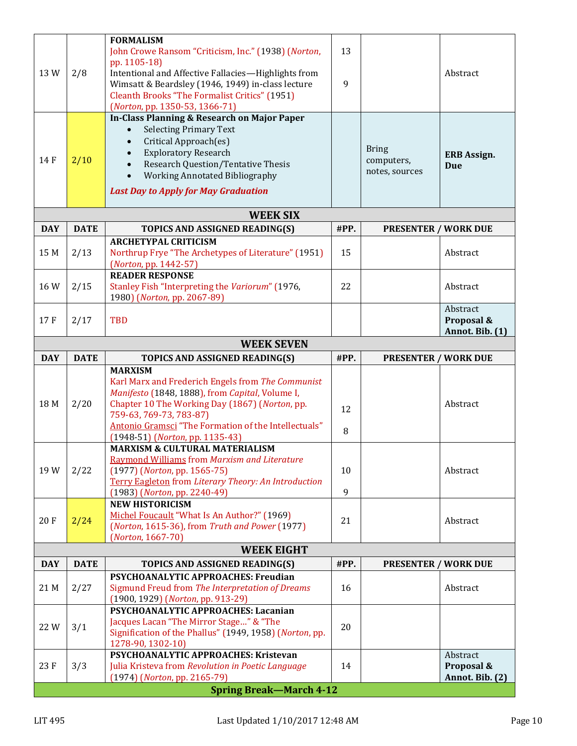| 13<br>John Crowe Ransom "Criticism, Inc." (1938) (Norton,<br>pp. 1105-18)<br>13W<br>2/8<br>Intentional and Affective Fallacies-Highlights from<br>Abstract<br>Wimsatt & Beardsley (1946, 1949) in-class lecture<br>9<br>Cleanth Brooks "The Formalist Critics" (1951)<br>(Norton, pp. 1350-53, 1366-71)<br><b>In-Class Planning &amp; Research on Major Paper</b><br><b>Selecting Primary Text</b><br>Critical Approach(es)<br><b>Bring</b><br><b>Exploratory Research</b><br><b>ERB Assign.</b><br>2/10<br>14 F<br>computers,<br><b>Research Question/Tentative Thesis</b><br><b>Due</b><br>notes, sources<br>Working Annotated Bibliography<br>$\bullet$<br><b>Last Day to Apply for May Graduation</b><br><b>WEEK SIX</b><br><b>DAY</b><br><b>DATE</b><br>#PP.<br><b>PRESENTER / WORK DUE</b><br>TOPICS AND ASSIGNED READING(S)<br><b>ARCHETYPAL CRITICISM</b><br>Northrup Frye "The Archetypes of Literature" (1951)<br>15<br>15 M<br>2/13<br>Abstract<br>(Norton, pp. 1442-57)<br><b>READER RESPONSE</b><br>Stanley Fish "Interpreting the Variorum" (1976,<br>22<br>16W<br>2/15<br>Abstract<br>1980) (Norton, pp. 2067-89)<br>Abstract<br><b>TBD</b><br>17F<br>2/17<br>Proposal &<br>Annot. Bib. (1)<br><b>WEEK SEVEN</b><br><b>DATE</b><br>#PP.<br><b>DAY</b><br>TOPICS AND ASSIGNED READING(S)<br><b>PRESENTER / WORK DUE</b><br><b>MARXISM</b><br>Karl Marx and Frederich Engels from The Communist<br>Manifesto (1848, 1888), from Capital, Volume I,<br>2/20<br>Chapter 10 The Working Day (1867) (Norton, pp.<br>18 M<br>Abstract<br>12<br>759-63, 769-73, 783-87)<br>Antonio Gramsci "The Formation of the Intellectuals"<br>8<br>(1948-51) (Norton, pp. 1135-43)<br><b>MARXISM &amp; CULTURAL MATERIALISM</b><br>Raymond Williams from Marxism and Literature<br>19W<br>2/22<br>$(1977)$ (Norton, pp. 1565-75)<br>10<br>Abstract<br>Terry Eagleton from Literary Theory: An Introduction<br>$\overline{9}$<br>(1983) (Norton, pp. 2240-49)<br><b>NEW HISTORICISM</b><br>Michel Foucault "What Is An Author?" (1969)<br>20F<br>2/24<br>21<br>Abstract<br>(Norton, 1615-36), from Truth and Power (1977)<br>(Norton, 1667-70)<br><b>WEEK EIGHT</b><br><b>DATE</b><br>#PP.<br><b>DAY</b><br>TOPICS AND ASSIGNED READING(S)<br><b>PRESENTER / WORK DUE</b><br>PSYCHOANALYTIC APPROACHES: Freudian<br>2/27<br>Sigmund Freud from The Interpretation of Dreams<br>21 M<br>16<br>Abstract<br>(1900, 1929) (Norton, pp. 913-29)<br>PSYCHOANALYTIC APPROACHES: Lacanian<br>Jacques Lacan "The Mirror Stage" & "The<br>3/1<br>22W<br>20<br>Signification of the Phallus" (1949, 1958) (Norton, pp.<br>1278-90, 1302-10)<br>PSYCHOANALYTIC APPROACHES: Kristevan<br>Abstract<br>23F<br>3/3<br>14<br>Proposal &<br>Julia Kristeva from Revolution in Poetic Language<br>(1974) (Norton, pp. 2165-79)<br>Annot. Bib. (2)<br><b>Spring Break-March 4-12</b> |  |                  |  |  |  |  |  |  |  |
|-------------------------------------------------------------------------------------------------------------------------------------------------------------------------------------------------------------------------------------------------------------------------------------------------------------------------------------------------------------------------------------------------------------------------------------------------------------------------------------------------------------------------------------------------------------------------------------------------------------------------------------------------------------------------------------------------------------------------------------------------------------------------------------------------------------------------------------------------------------------------------------------------------------------------------------------------------------------------------------------------------------------------------------------------------------------------------------------------------------------------------------------------------------------------------------------------------------------------------------------------------------------------------------------------------------------------------------------------------------------------------------------------------------------------------------------------------------------------------------------------------------------------------------------------------------------------------------------------------------------------------------------------------------------------------------------------------------------------------------------------------------------------------------------------------------------------------------------------------------------------------------------------------------------------------------------------------------------------------------------------------------------------------------------------------------------------------------------------------------------------------------------------------------------------------------------------------------------------------------------------------------------------------------------------------------------------------------------------------------------------------------------------------------------------------------------------------------------------------------------------------------------------------------------------------------------------------------------------------------------------------------------------------------------------------------------------------------------------------------------------------------------------------------------------------------------------------------------------------------|--|------------------|--|--|--|--|--|--|--|
|                                                                                                                                                                                                                                                                                                                                                                                                                                                                                                                                                                                                                                                                                                                                                                                                                                                                                                                                                                                                                                                                                                                                                                                                                                                                                                                                                                                                                                                                                                                                                                                                                                                                                                                                                                                                                                                                                                                                                                                                                                                                                                                                                                                                                                                                                                                                                                                                                                                                                                                                                                                                                                                                                                                                                                                                                                                             |  | <b>FORMALISM</b> |  |  |  |  |  |  |  |
|                                                                                                                                                                                                                                                                                                                                                                                                                                                                                                                                                                                                                                                                                                                                                                                                                                                                                                                                                                                                                                                                                                                                                                                                                                                                                                                                                                                                                                                                                                                                                                                                                                                                                                                                                                                                                                                                                                                                                                                                                                                                                                                                                                                                                                                                                                                                                                                                                                                                                                                                                                                                                                                                                                                                                                                                                                                             |  |                  |  |  |  |  |  |  |  |
|                                                                                                                                                                                                                                                                                                                                                                                                                                                                                                                                                                                                                                                                                                                                                                                                                                                                                                                                                                                                                                                                                                                                                                                                                                                                                                                                                                                                                                                                                                                                                                                                                                                                                                                                                                                                                                                                                                                                                                                                                                                                                                                                                                                                                                                                                                                                                                                                                                                                                                                                                                                                                                                                                                                                                                                                                                                             |  |                  |  |  |  |  |  |  |  |
|                                                                                                                                                                                                                                                                                                                                                                                                                                                                                                                                                                                                                                                                                                                                                                                                                                                                                                                                                                                                                                                                                                                                                                                                                                                                                                                                                                                                                                                                                                                                                                                                                                                                                                                                                                                                                                                                                                                                                                                                                                                                                                                                                                                                                                                                                                                                                                                                                                                                                                                                                                                                                                                                                                                                                                                                                                                             |  |                  |  |  |  |  |  |  |  |
|                                                                                                                                                                                                                                                                                                                                                                                                                                                                                                                                                                                                                                                                                                                                                                                                                                                                                                                                                                                                                                                                                                                                                                                                                                                                                                                                                                                                                                                                                                                                                                                                                                                                                                                                                                                                                                                                                                                                                                                                                                                                                                                                                                                                                                                                                                                                                                                                                                                                                                                                                                                                                                                                                                                                                                                                                                                             |  |                  |  |  |  |  |  |  |  |
|                                                                                                                                                                                                                                                                                                                                                                                                                                                                                                                                                                                                                                                                                                                                                                                                                                                                                                                                                                                                                                                                                                                                                                                                                                                                                                                                                                                                                                                                                                                                                                                                                                                                                                                                                                                                                                                                                                                                                                                                                                                                                                                                                                                                                                                                                                                                                                                                                                                                                                                                                                                                                                                                                                                                                                                                                                                             |  |                  |  |  |  |  |  |  |  |
|                                                                                                                                                                                                                                                                                                                                                                                                                                                                                                                                                                                                                                                                                                                                                                                                                                                                                                                                                                                                                                                                                                                                                                                                                                                                                                                                                                                                                                                                                                                                                                                                                                                                                                                                                                                                                                                                                                                                                                                                                                                                                                                                                                                                                                                                                                                                                                                                                                                                                                                                                                                                                                                                                                                                                                                                                                                             |  |                  |  |  |  |  |  |  |  |
|                                                                                                                                                                                                                                                                                                                                                                                                                                                                                                                                                                                                                                                                                                                                                                                                                                                                                                                                                                                                                                                                                                                                                                                                                                                                                                                                                                                                                                                                                                                                                                                                                                                                                                                                                                                                                                                                                                                                                                                                                                                                                                                                                                                                                                                                                                                                                                                                                                                                                                                                                                                                                                                                                                                                                                                                                                                             |  |                  |  |  |  |  |  |  |  |
|                                                                                                                                                                                                                                                                                                                                                                                                                                                                                                                                                                                                                                                                                                                                                                                                                                                                                                                                                                                                                                                                                                                                                                                                                                                                                                                                                                                                                                                                                                                                                                                                                                                                                                                                                                                                                                                                                                                                                                                                                                                                                                                                                                                                                                                                                                                                                                                                                                                                                                                                                                                                                                                                                                                                                                                                                                                             |  |                  |  |  |  |  |  |  |  |
|                                                                                                                                                                                                                                                                                                                                                                                                                                                                                                                                                                                                                                                                                                                                                                                                                                                                                                                                                                                                                                                                                                                                                                                                                                                                                                                                                                                                                                                                                                                                                                                                                                                                                                                                                                                                                                                                                                                                                                                                                                                                                                                                                                                                                                                                                                                                                                                                                                                                                                                                                                                                                                                                                                                                                                                                                                                             |  |                  |  |  |  |  |  |  |  |
|                                                                                                                                                                                                                                                                                                                                                                                                                                                                                                                                                                                                                                                                                                                                                                                                                                                                                                                                                                                                                                                                                                                                                                                                                                                                                                                                                                                                                                                                                                                                                                                                                                                                                                                                                                                                                                                                                                                                                                                                                                                                                                                                                                                                                                                                                                                                                                                                                                                                                                                                                                                                                                                                                                                                                                                                                                                             |  |                  |  |  |  |  |  |  |  |
|                                                                                                                                                                                                                                                                                                                                                                                                                                                                                                                                                                                                                                                                                                                                                                                                                                                                                                                                                                                                                                                                                                                                                                                                                                                                                                                                                                                                                                                                                                                                                                                                                                                                                                                                                                                                                                                                                                                                                                                                                                                                                                                                                                                                                                                                                                                                                                                                                                                                                                                                                                                                                                                                                                                                                                                                                                                             |  |                  |  |  |  |  |  |  |  |
|                                                                                                                                                                                                                                                                                                                                                                                                                                                                                                                                                                                                                                                                                                                                                                                                                                                                                                                                                                                                                                                                                                                                                                                                                                                                                                                                                                                                                                                                                                                                                                                                                                                                                                                                                                                                                                                                                                                                                                                                                                                                                                                                                                                                                                                                                                                                                                                                                                                                                                                                                                                                                                                                                                                                                                                                                                                             |  |                  |  |  |  |  |  |  |  |
|                                                                                                                                                                                                                                                                                                                                                                                                                                                                                                                                                                                                                                                                                                                                                                                                                                                                                                                                                                                                                                                                                                                                                                                                                                                                                                                                                                                                                                                                                                                                                                                                                                                                                                                                                                                                                                                                                                                                                                                                                                                                                                                                                                                                                                                                                                                                                                                                                                                                                                                                                                                                                                                                                                                                                                                                                                                             |  |                  |  |  |  |  |  |  |  |
|                                                                                                                                                                                                                                                                                                                                                                                                                                                                                                                                                                                                                                                                                                                                                                                                                                                                                                                                                                                                                                                                                                                                                                                                                                                                                                                                                                                                                                                                                                                                                                                                                                                                                                                                                                                                                                                                                                                                                                                                                                                                                                                                                                                                                                                                                                                                                                                                                                                                                                                                                                                                                                                                                                                                                                                                                                                             |  |                  |  |  |  |  |  |  |  |
|                                                                                                                                                                                                                                                                                                                                                                                                                                                                                                                                                                                                                                                                                                                                                                                                                                                                                                                                                                                                                                                                                                                                                                                                                                                                                                                                                                                                                                                                                                                                                                                                                                                                                                                                                                                                                                                                                                                                                                                                                                                                                                                                                                                                                                                                                                                                                                                                                                                                                                                                                                                                                                                                                                                                                                                                                                                             |  |                  |  |  |  |  |  |  |  |
|                                                                                                                                                                                                                                                                                                                                                                                                                                                                                                                                                                                                                                                                                                                                                                                                                                                                                                                                                                                                                                                                                                                                                                                                                                                                                                                                                                                                                                                                                                                                                                                                                                                                                                                                                                                                                                                                                                                                                                                                                                                                                                                                                                                                                                                                                                                                                                                                                                                                                                                                                                                                                                                                                                                                                                                                                                                             |  |                  |  |  |  |  |  |  |  |
|                                                                                                                                                                                                                                                                                                                                                                                                                                                                                                                                                                                                                                                                                                                                                                                                                                                                                                                                                                                                                                                                                                                                                                                                                                                                                                                                                                                                                                                                                                                                                                                                                                                                                                                                                                                                                                                                                                                                                                                                                                                                                                                                                                                                                                                                                                                                                                                                                                                                                                                                                                                                                                                                                                                                                                                                                                                             |  |                  |  |  |  |  |  |  |  |
|                                                                                                                                                                                                                                                                                                                                                                                                                                                                                                                                                                                                                                                                                                                                                                                                                                                                                                                                                                                                                                                                                                                                                                                                                                                                                                                                                                                                                                                                                                                                                                                                                                                                                                                                                                                                                                                                                                                                                                                                                                                                                                                                                                                                                                                                                                                                                                                                                                                                                                                                                                                                                                                                                                                                                                                                                                                             |  |                  |  |  |  |  |  |  |  |
|                                                                                                                                                                                                                                                                                                                                                                                                                                                                                                                                                                                                                                                                                                                                                                                                                                                                                                                                                                                                                                                                                                                                                                                                                                                                                                                                                                                                                                                                                                                                                                                                                                                                                                                                                                                                                                                                                                                                                                                                                                                                                                                                                                                                                                                                                                                                                                                                                                                                                                                                                                                                                                                                                                                                                                                                                                                             |  |                  |  |  |  |  |  |  |  |
|                                                                                                                                                                                                                                                                                                                                                                                                                                                                                                                                                                                                                                                                                                                                                                                                                                                                                                                                                                                                                                                                                                                                                                                                                                                                                                                                                                                                                                                                                                                                                                                                                                                                                                                                                                                                                                                                                                                                                                                                                                                                                                                                                                                                                                                                                                                                                                                                                                                                                                                                                                                                                                                                                                                                                                                                                                                             |  |                  |  |  |  |  |  |  |  |
|                                                                                                                                                                                                                                                                                                                                                                                                                                                                                                                                                                                                                                                                                                                                                                                                                                                                                                                                                                                                                                                                                                                                                                                                                                                                                                                                                                                                                                                                                                                                                                                                                                                                                                                                                                                                                                                                                                                                                                                                                                                                                                                                                                                                                                                                                                                                                                                                                                                                                                                                                                                                                                                                                                                                                                                                                                                             |  |                  |  |  |  |  |  |  |  |
|                                                                                                                                                                                                                                                                                                                                                                                                                                                                                                                                                                                                                                                                                                                                                                                                                                                                                                                                                                                                                                                                                                                                                                                                                                                                                                                                                                                                                                                                                                                                                                                                                                                                                                                                                                                                                                                                                                                                                                                                                                                                                                                                                                                                                                                                                                                                                                                                                                                                                                                                                                                                                                                                                                                                                                                                                                                             |  |                  |  |  |  |  |  |  |  |
|                                                                                                                                                                                                                                                                                                                                                                                                                                                                                                                                                                                                                                                                                                                                                                                                                                                                                                                                                                                                                                                                                                                                                                                                                                                                                                                                                                                                                                                                                                                                                                                                                                                                                                                                                                                                                                                                                                                                                                                                                                                                                                                                                                                                                                                                                                                                                                                                                                                                                                                                                                                                                                                                                                                                                                                                                                                             |  |                  |  |  |  |  |  |  |  |
|                                                                                                                                                                                                                                                                                                                                                                                                                                                                                                                                                                                                                                                                                                                                                                                                                                                                                                                                                                                                                                                                                                                                                                                                                                                                                                                                                                                                                                                                                                                                                                                                                                                                                                                                                                                                                                                                                                                                                                                                                                                                                                                                                                                                                                                                                                                                                                                                                                                                                                                                                                                                                                                                                                                                                                                                                                                             |  |                  |  |  |  |  |  |  |  |
|                                                                                                                                                                                                                                                                                                                                                                                                                                                                                                                                                                                                                                                                                                                                                                                                                                                                                                                                                                                                                                                                                                                                                                                                                                                                                                                                                                                                                                                                                                                                                                                                                                                                                                                                                                                                                                                                                                                                                                                                                                                                                                                                                                                                                                                                                                                                                                                                                                                                                                                                                                                                                                                                                                                                                                                                                                                             |  |                  |  |  |  |  |  |  |  |
|                                                                                                                                                                                                                                                                                                                                                                                                                                                                                                                                                                                                                                                                                                                                                                                                                                                                                                                                                                                                                                                                                                                                                                                                                                                                                                                                                                                                                                                                                                                                                                                                                                                                                                                                                                                                                                                                                                                                                                                                                                                                                                                                                                                                                                                                                                                                                                                                                                                                                                                                                                                                                                                                                                                                                                                                                                                             |  |                  |  |  |  |  |  |  |  |
|                                                                                                                                                                                                                                                                                                                                                                                                                                                                                                                                                                                                                                                                                                                                                                                                                                                                                                                                                                                                                                                                                                                                                                                                                                                                                                                                                                                                                                                                                                                                                                                                                                                                                                                                                                                                                                                                                                                                                                                                                                                                                                                                                                                                                                                                                                                                                                                                                                                                                                                                                                                                                                                                                                                                                                                                                                                             |  |                  |  |  |  |  |  |  |  |
|                                                                                                                                                                                                                                                                                                                                                                                                                                                                                                                                                                                                                                                                                                                                                                                                                                                                                                                                                                                                                                                                                                                                                                                                                                                                                                                                                                                                                                                                                                                                                                                                                                                                                                                                                                                                                                                                                                                                                                                                                                                                                                                                                                                                                                                                                                                                                                                                                                                                                                                                                                                                                                                                                                                                                                                                                                                             |  |                  |  |  |  |  |  |  |  |
|                                                                                                                                                                                                                                                                                                                                                                                                                                                                                                                                                                                                                                                                                                                                                                                                                                                                                                                                                                                                                                                                                                                                                                                                                                                                                                                                                                                                                                                                                                                                                                                                                                                                                                                                                                                                                                                                                                                                                                                                                                                                                                                                                                                                                                                                                                                                                                                                                                                                                                                                                                                                                                                                                                                                                                                                                                                             |  |                  |  |  |  |  |  |  |  |
|                                                                                                                                                                                                                                                                                                                                                                                                                                                                                                                                                                                                                                                                                                                                                                                                                                                                                                                                                                                                                                                                                                                                                                                                                                                                                                                                                                                                                                                                                                                                                                                                                                                                                                                                                                                                                                                                                                                                                                                                                                                                                                                                                                                                                                                                                                                                                                                                                                                                                                                                                                                                                                                                                                                                                                                                                                                             |  |                  |  |  |  |  |  |  |  |
|                                                                                                                                                                                                                                                                                                                                                                                                                                                                                                                                                                                                                                                                                                                                                                                                                                                                                                                                                                                                                                                                                                                                                                                                                                                                                                                                                                                                                                                                                                                                                                                                                                                                                                                                                                                                                                                                                                                                                                                                                                                                                                                                                                                                                                                                                                                                                                                                                                                                                                                                                                                                                                                                                                                                                                                                                                                             |  |                  |  |  |  |  |  |  |  |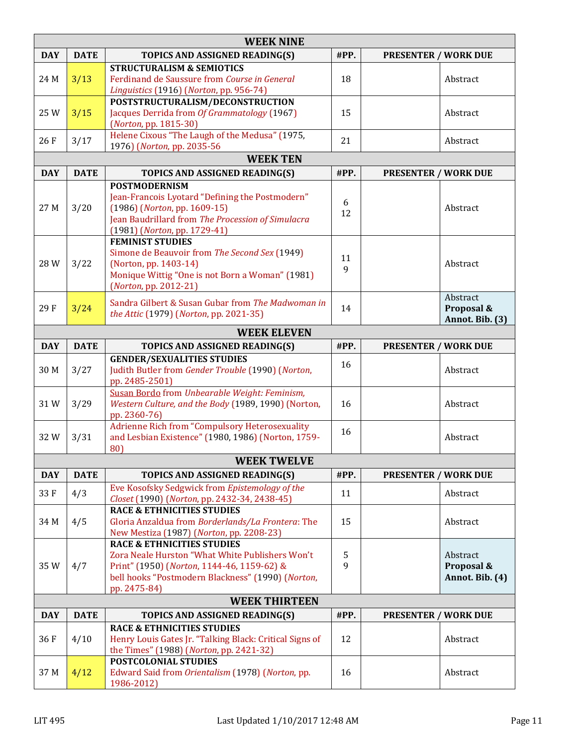|            | <b>WEEK NINE</b>   |                                                                                                                                                                                                             |         |                             |                                           |  |  |  |  |  |
|------------|--------------------|-------------------------------------------------------------------------------------------------------------------------------------------------------------------------------------------------------------|---------|-----------------------------|-------------------------------------------|--|--|--|--|--|
| <b>DAY</b> | <b>DATE</b>        | TOPICS AND ASSIGNED READING(S)                                                                                                                                                                              | #PP.    | <b>PRESENTER / WORK DUE</b> |                                           |  |  |  |  |  |
| 24 M       | 3/13               | <b>STRUCTURALISM &amp; SEMIOTICS</b><br>Ferdinand de Saussure from Course in General<br>Linguistics (1916) (Norton, pp. 956-74)                                                                             | 18      |                             | Abstract                                  |  |  |  |  |  |
| 25W        | 3/15               | POSTSTRUCTURALISM/DECONSTRUCTION<br>Jacques Derrida from Of Grammatology (1967)<br>(Norton, pp. 1815-30)                                                                                                    | 15      |                             | Abstract                                  |  |  |  |  |  |
| 26F        | 3/17               | Helene Cixous "The Laugh of the Medusa" (1975,<br>1976) (Norton, pp. 2035-56                                                                                                                                | 21      |                             | Abstract                                  |  |  |  |  |  |
|            | <b>WEEK TEN</b>    |                                                                                                                                                                                                             |         |                             |                                           |  |  |  |  |  |
| <b>DAY</b> | <b>DATE</b>        | TOPICS AND ASSIGNED READING(S)                                                                                                                                                                              | #PP.    | <b>PRESENTER / WORK DUE</b> |                                           |  |  |  |  |  |
| 27 M       | 3/20               | <b>POSTMODERNISM</b><br>Jean-Francois Lyotard "Defining the Postmodern"<br>(1986) (Norton, pp. 1609-15)<br>Jean Baudrillard from The Procession of Simulacra<br>(1981) (Norton, pp. 1729-41)                | 6<br>12 |                             | Abstract                                  |  |  |  |  |  |
| 28W        | 3/22               | <b>FEMINIST STUDIES</b><br>Simone de Beauvoir from The Second Sex (1949)<br>(Norton, pp. 1403-14)<br>Monique Wittig "One is not Born a Woman" (1981)<br>(Norton, pp. 2012-21)                               | 11<br>9 |                             | Abstract                                  |  |  |  |  |  |
| 29F        | 3/24               | Sandra Gilbert & Susan Gubar from The Madwoman in<br>the Attic (1979) (Norton, pp. 2021-35)                                                                                                                 | 14      |                             | Abstract<br>Proposal &<br>Annot. Bib. (3) |  |  |  |  |  |
|            | <b>WEEK ELEVEN</b> |                                                                                                                                                                                                             |         |                             |                                           |  |  |  |  |  |
| <b>DAY</b> | <b>DATE</b>        | TOPICS AND ASSIGNED READING(S)                                                                                                                                                                              | #PP.    | <b>PRESENTER / WORK DUE</b> |                                           |  |  |  |  |  |
| 30 M       | 3/27               | <b>GENDER/SEXUALITIES STUDIES</b><br>Judith Butler from Gender Trouble (1990) (Norton,<br>pp. 2485-2501)                                                                                                    | 16      |                             | Abstract                                  |  |  |  |  |  |
| 31W        | 3/29               | Susan Bordo from Unbearable Weight: Feminism,<br>Western Culture, and the Body (1989, 1990) (Norton,<br>pp. 2360-76)                                                                                        | 16      |                             | Abstract                                  |  |  |  |  |  |
| 32W        | 3/31               | Adrienne Rich from "Compulsory Heterosexuality<br>and Lesbian Existence" (1980, 1986) (Norton, 1759-<br>80)                                                                                                 | 16      |                             | Abstract                                  |  |  |  |  |  |
|            |                    | <b>WEEK TWELVE</b>                                                                                                                                                                                          |         |                             |                                           |  |  |  |  |  |
| <b>DAY</b> | <b>DATE</b>        | TOPICS AND ASSIGNED READING(S)                                                                                                                                                                              | #PP.    | <b>PRESENTER / WORK DUE</b> |                                           |  |  |  |  |  |
| 33F        | 4/3                | Eve Kosofsky Sedgwick from Epistemology of the<br>Closet (1990) (Norton, pp. 2432-34, 2438-45)                                                                                                              | 11      |                             | Abstract                                  |  |  |  |  |  |
| 34 M       | 4/5                | <b>RACE &amp; ETHNICITIES STUDIES</b><br>Gloria Anzaldua from Borderlands/La Frontera: The<br>New Mestiza (1987) (Norton, pp. 2208-23)                                                                      | 15      |                             | Abstract                                  |  |  |  |  |  |
| 35W        | 4/7                | <b>RACE &amp; ETHNICITIES STUDIES</b><br>Zora Neale Hurston "What White Publishers Won't<br>Print" (1950) (Norton, 1144-46, 1159-62) &<br>bell hooks "Postmodern Blackness" (1990) (Norton,<br>pp. 2475-84) | 5<br>9  |                             | Abstract<br>Proposal &<br>Annot. Bib. (4) |  |  |  |  |  |
|            |                    | <b>WEEK THIRTEEN</b>                                                                                                                                                                                        |         |                             |                                           |  |  |  |  |  |
| <b>DAY</b> | <b>DATE</b>        | TOPICS AND ASSIGNED READING(S)                                                                                                                                                                              | #PP.    | <b>PRESENTER / WORK DUE</b> |                                           |  |  |  |  |  |
| 36F        | 4/10               | <b>RACE &amp; ETHNICITIES STUDIES</b><br>Henry Louis Gates Jr. "Talking Black: Critical Signs of<br>the Times" (1988) (Norton, pp. 2421-32)                                                                 | 12      |                             | Abstract                                  |  |  |  |  |  |
| 37 M       | 4/12               | <b>POSTCOLONIAL STUDIES</b><br>Edward Said from Orientalism (1978) (Norton, pp.<br>1986-2012)                                                                                                               | 16      |                             | Abstract                                  |  |  |  |  |  |